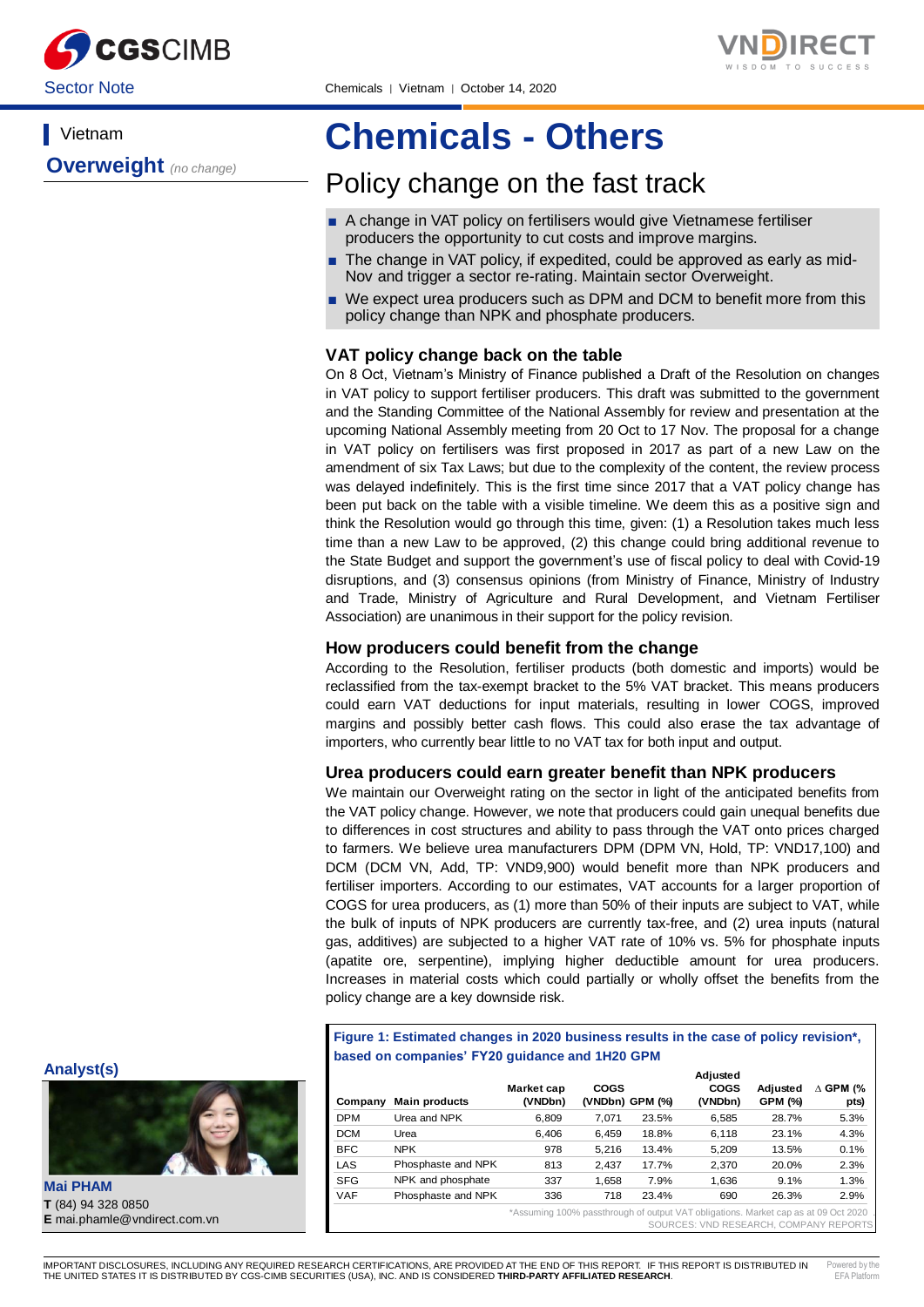

# **Vietnam**

**Overweight** *(no change)*

# **Chemicals - Others**

# Policy change on the fast track

- A change in VAT policy on fertilisers would give Vietnamese fertiliser producers the opportunity to cut costs and improve margins.
- The change in VAT policy, if expedited, could be approved as early as mid-Nov and trigger a sector re-rating. Maintain sector Overweight.
- We expect urea producers such as DPM and DCM to benefit more from this policy change than NPK and phosphate producers.

# **VAT policy change back on the table**

On 8 Oct, Vietnam's Ministry of Finance published a Draft of the Resolution on changes in VAT policy to support fertiliser producers. This draft was submitted to the government and the Standing Committee of the National Assembly for review and presentation at the upcoming National Assembly meeting from 20 Oct to 17 Nov. The proposal for a change in VAT policy on fertilisers was first proposed in 2017 as part of a new Law on the amendment of six Tax Laws; but due to the complexity of the content, the review process was delayed indefinitely. This is the first time since 2017 that a VAT policy change has been put back on the table with a visible timeline. We deem this as a positive sign and think the Resolution would go through this time, given: (1) a Resolution takes much less time than a new Law to be approved, (2) this change could bring additional revenue to the State Budget and support the government's use of fiscal policy to deal with Covid-19 disruptions, and (3) consensus opinions (from Ministry of Finance, Ministry of Industry and Trade, Ministry of Agriculture and Rural Development, and Vietnam Fertiliser Association) are unanimous in their support for the policy revision.

# **How producers could benefit from the change**

According to the Resolution, fertiliser products (both domestic and imports) would be reclassified from the tax-exempt bracket to the 5% VAT bracket. This means producers could earn VAT deductions for input materials, resulting in lower COGS, improved margins and possibly better cash flows. This could also erase the tax advantage of importers, who currently bear little to no VAT tax for both input and output.

## **Urea producers could earn greater benefit than NPK producers**

We maintain our Overweight rating on the sector in light of the anticipated benefits from the VAT policy change. However, we note that producers could gain unequal benefits due to differences in cost structures and ability to pass through the VAT onto prices charged to farmers. We believe urea manufacturers DPM (DPM VN, Hold, TP: VND17,100) and DCM (DCM VN, Add, TP: VND9,900) would benefit more than NPK producers and fertiliser importers. According to our estimates, VAT accounts for a larger proportion of COGS for urea producers, as (1) more than 50% of their inputs are subject to VAT, while the bulk of inputs of NPK producers are currently tax-free, and (2) urea inputs (natural gas, additives) are subjected to a higher VAT rate of 10% vs. 5% for phosphate inputs (apatite ore, serpentine), implying higher deductible amount for urea producers. Increases in material costs which could partially or wholly offset the benefits from the policy change are a key downside risk.

**Figure 1: Estimated changes in 2020 business results in the case of policy revision\*, based on companies' FY20 guidance and 1H20 GPM**

|            |                      |                       |                                |       | Adjusted               |                     |                       |
|------------|----------------------|-----------------------|--------------------------------|-------|------------------------|---------------------|-----------------------|
| Company    | <b>Main products</b> | Market cap<br>(VNDbn) | <b>COGS</b><br>(VNDbn) GPM (%) |       | <b>COGS</b><br>(VNDbn) | Adjusted<br>GPM (%) | . GPM (%<br>л<br>pts) |
| <b>DPM</b> | Urea and NPK         | 6.809                 | 7.071                          | 23.5% | 6.585                  | 28.7%               | 5.3%                  |
| <b>DCM</b> | Urea                 | 6.406                 | 6.459                          | 18.8% | 6.118                  | 23.1%               | 4.3%                  |
| <b>BFC</b> | <b>NPK</b>           | 978                   | 5.216                          | 13.4% | 5.209                  | 13.5%               | 0.1%                  |
| LAS        | Phosphaste and NPK   | 813                   | 2.437                          | 17.7% | 2.370                  | 20.0%               | 2.3%                  |
| <b>SFG</b> | NPK and phosphate    | 337                   | 1.658                          | 7.9%  | 1.636                  | 9.1%                | 1.3%                  |
| <b>VAF</b> | Phosphaste and NPK   | 336                   | 718                            | 23.4% | 690                    | 26.3%               | 2.9%                  |
|            |                      |                       |                                |       |                        |                     |                       |

Assuming 100% passthrough of SOURCES: VND RESEARCH, COMPANY REPORTS

#### **Analyst(s)**



**Mai PHAM T** (84) 94 328 0850

٦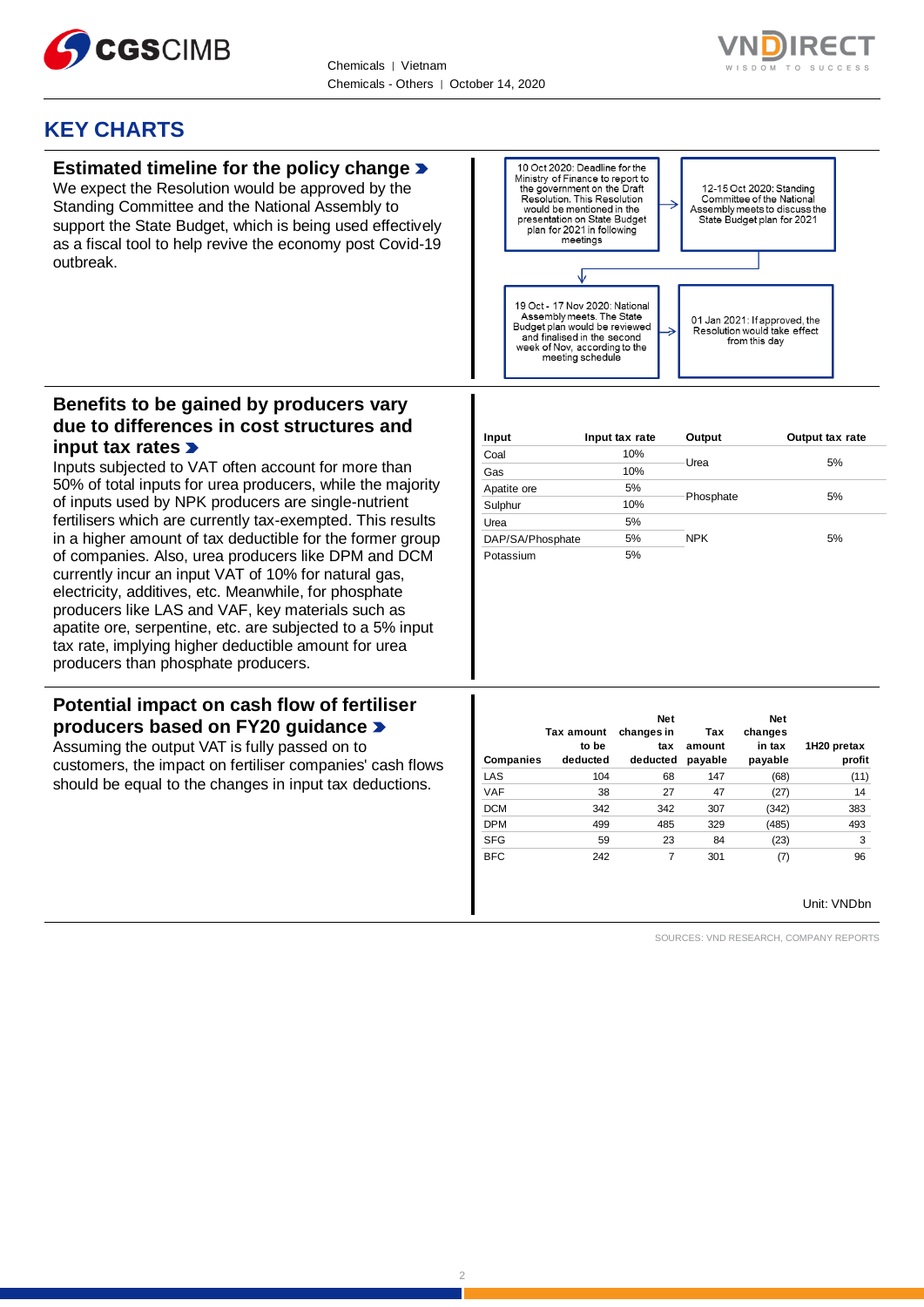



# **KEY CHARTS**

# **Estimated timeline for the policy change**

We expect the Resolution would be approved by the Standing Committee and the National Assembly to support the State Budget, which is being used effectively as a fiscal tool to help revive the economy post Covid-19 outbreak.



# **Benefits to be gained by producers vary due to differences in cost structures and input tax rates**

Inputs subjected to VAT often account for more than 50% of total inputs for urea producers, while the majority of inputs used by NPK producers are single-nutrient fertilisers which are currently tax-exempted. This results in a higher amount of tax deductible for the former group of companies. Also, urea producers like DPM and DCM currently incur an input VAT of 10% for natural gas, electricity, additives, etc. Meanwhile, for phosphate producers like LAS and VAF, key materials such as apatite ore, serpentine, etc. are subjected to a 5% input tax rate, implying higher deductible amount for urea producers than phosphate producers.

# **Potential impact on cash flow of fertiliser producers based on FY20 guidance**

Assuming the output VAT is fully passed on to customers, the impact on fertiliser companies' cash flows should be equal to the changes in input tax deductions.

| Input            | Input tax rate | Output     | Output tax rate |  |
|------------------|----------------|------------|-----------------|--|
| Coal             | 10%            |            |                 |  |
| Gas              | 10%            | Urea       | 5%              |  |
| Apatite ore      | 5%             |            |                 |  |
| Sulphur          | 10%            | Phosphate  | 5%              |  |
| Urea             | 5%             |            |                 |  |
| DAP/SA/Phosphate | 5%             | <b>NPK</b> | 5%              |  |
| Potassium        | 5%             |            |                 |  |

| Companies  | Tax amount<br>to be<br>deducted | <b>Net</b><br>changes in<br>tax<br>deducted | Tax<br>amount<br>payable | <b>Net</b><br>changes<br>in tax<br>payable | 1H20 pretax<br>profit |
|------------|---------------------------------|---------------------------------------------|--------------------------|--------------------------------------------|-----------------------|
| LAS        | 104                             | 68                                          | 147                      | (68)                                       | (11)                  |
| <b>VAF</b> | 38                              | 27                                          | 47                       | (27)                                       | 14                    |
| <b>DCM</b> | 342                             | 342                                         | 307                      | (342)                                      | 383                   |
| <b>DPM</b> | 499                             | 485                                         | 329                      | (485)                                      | 493                   |
| <b>SFG</b> | 59                              | 23                                          | 84                       | (23)                                       | 3                     |
| <b>BFC</b> | 242                             | 7                                           | 301                      | (7)                                        | 96                    |

Unit: VNDbn

SOURCES: VND RESEARCH, COMPANY REPORTS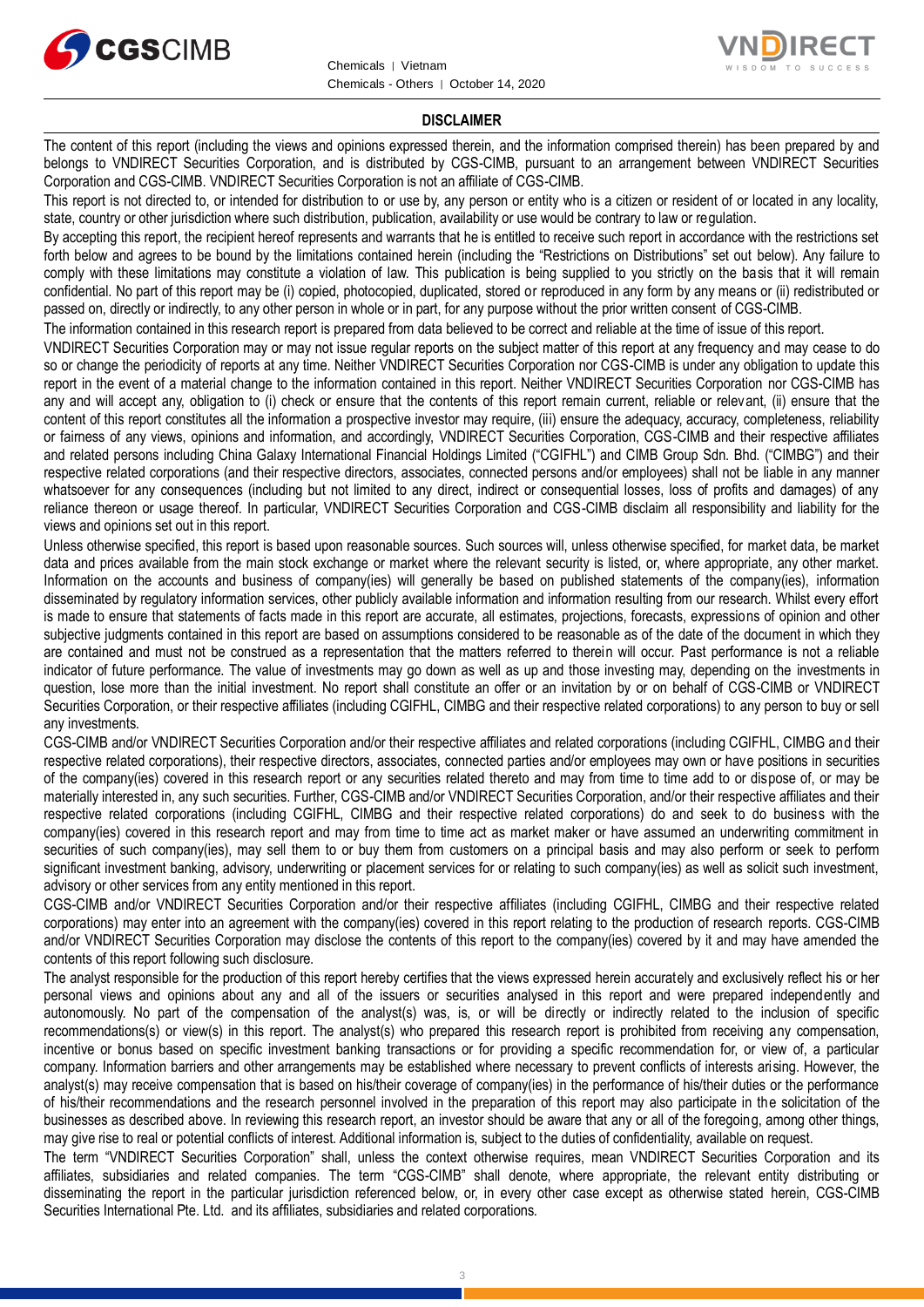



### **DISCLAIMER**

The content of this report (including the views and opinions expressed therein, and the information comprised therein) has been prepared by and belongs to VNDIRECT Securities Corporation, and is distributed by CGS-CIMB, pursuant to an arrangement between VNDIRECT Securities Corporation and CGS-CIMB. VNDIRECT Securities Corporation is not an affiliate of CGS-CIMB.

This report is not directed to, or intended for distribution to or use by, any person or entity who is a citizen or resident of or located in any locality, state, country or other jurisdiction where such distribution, publication, availability or use would be contrary to law or regulation.

By accepting this report, the recipient hereof represents and warrants that he is entitled to receive such report in accordance with the restrictions set forth below and agrees to be bound by the limitations contained herein (including the "Restrictions on Distributions" set out below). Any failure to comply with these limitations may constitute a violation of law. This publication is being supplied to you strictly on the basis that it will remain confidential. No part of this report may be (i) copied, photocopied, duplicated, stored or reproduced in any form by any means or (ii) redistributed or passed on, directly or indirectly, to any other person in whole or in part, for any purpose without the prior written consent of CGS-CIMB.

The information contained in this research report is prepared from data believed to be correct and reliable at the time of issue of this report.

VNDIRECT Securities Corporation may or may not issue regular reports on the subject matter of this report at any frequency and may cease to do so or change the periodicity of reports at any time. Neither VNDIRECT Securities Corporation nor CGS-CIMB is under any obligation to update this report in the event of a material change to the information contained in this report. Neither VNDIRECT Securities Corporation nor CGS-CIMB has any and will accept any, obligation to (i) check or ensure that the contents of this report remain current, reliable or relevant, (ii) ensure that the content of this report constitutes all the information a prospective investor may require, (iii) ensure the adequacy, accuracy, completeness, reliability or fairness of any views, opinions and information, and accordingly, VNDIRECT Securities Corporation, CGS-CIMB and their respective affiliates and related persons including China Galaxy International Financial Holdings Limited ("CGIFHL") and CIMB Group Sdn. Bhd. ("CIMBG") and their respective related corporations (and their respective directors, associates, connected persons and/or employees) shall not be liable in any manner whatsoever for any consequences (including but not limited to any direct, indirect or consequential losses, loss of profits and damages) of any reliance thereon or usage thereof. In particular, VNDIRECT Securities Corporation and CGS-CIMB disclaim all responsibility and liability for the views and opinions set out in this report.

Unless otherwise specified, this report is based upon reasonable sources. Such sources will, unless otherwise specified, for market data, be market data and prices available from the main stock exchange or market where the relevant security is listed, or, where appropriate, any other market. Information on the accounts and business of company(ies) will generally be based on published statements of the company(ies), information disseminated by regulatory information services, other publicly available information and information resulting from our research. Whilst every effort is made to ensure that statements of facts made in this report are accurate, all estimates, projections, forecasts, expressions of opinion and other subjective judgments contained in this report are based on assumptions considered to be reasonable as of the date of the document in which they are contained and must not be construed as a representation that the matters referred to therein will occur. Past performance is not a reliable indicator of future performance. The value of investments may go down as well as up and those investing may, depending on the investments in question, lose more than the initial investment. No report shall constitute an offer or an invitation by or on behalf of CGS-CIMB or VNDIRECT Securities Corporation, or their respective affiliates (including CGIFHL, CIMBG and their respective related corporations) to any person to buy or sell any investments.

CGS-CIMB and/or VNDIRECT Securities Corporation and/or their respective affiliates and related corporations (including CGIFHL, CIMBG and their respective related corporations), their respective directors, associates, connected parties and/or employees may own or have positions in securities of the company(ies) covered in this research report or any securities related thereto and may from time to time add to or dispose of, or may be materially interested in, any such securities. Further, CGS-CIMB and/or VNDIRECT Securities Corporation, and/or their respective affiliates and their respective related corporations (including CGIFHL, CIMBG and their respective related corporations) do and seek to do business with the company(ies) covered in this research report and may from time to time act as market maker or have assumed an underwriting commitment in securities of such company(ies), may sell them to or buy them from customers on a principal basis and may also perform or seek to perform significant investment banking, advisory, underwriting or placement services for or relating to such company(ies) as well as solicit such investment, advisory or other services from any entity mentioned in this report.

CGS-CIMB and/or VNDIRECT Securities Corporation and/or their respective affiliates (including CGIFHL, CIMBG and their respective related corporations) may enter into an agreement with the company(ies) covered in this report relating to the production of research reports. CGS-CIMB and/or VNDIRECT Securities Corporation may disclose the contents of this report to the company(ies) covered by it and may have amended the contents of this report following such disclosure.

The analyst responsible for the production of this report hereby certifies that the views expressed herein accurately and exclusively reflect his or her personal views and opinions about any and all of the issuers or securities analysed in this report and were prepared independently and autonomously. No part of the compensation of the analyst(s) was, is, or will be directly or indirectly related to the inclusion of specific recommendations(s) or view(s) in this report. The analyst(s) who prepared this research report is prohibited from receiving any compensation, incentive or bonus based on specific investment banking transactions or for providing a specific recommendation for, or view of, a particular company. Information barriers and other arrangements may be established where necessary to prevent conflicts of interests arising. However, the analyst(s) may receive compensation that is based on his/their coverage of company(ies) in the performance of his/their duties or the performance of his/their recommendations and the research personnel involved in the preparation of this report may also participate in the solicitation of the businesses as described above. In reviewing this research report, an investor should be aware that any or all of the foregoing, among other things, may give rise to real or potential conflicts of interest. Additional information is, subject to the duties of confidentiality, available on request.

The term "VNDIRECT Securities Corporation" shall, unless the context otherwise requires, mean VNDIRECT Securities Corporation and its affiliates, subsidiaries and related companies. The term "CGS-CIMB" shall denote, where appropriate, the relevant entity distributing or disseminating the report in the particular jurisdiction referenced below, or, in every other case except as otherwise stated herein, CGS-CIMB Securities International Pte. Ltd. and its affiliates, subsidiaries and related corporations.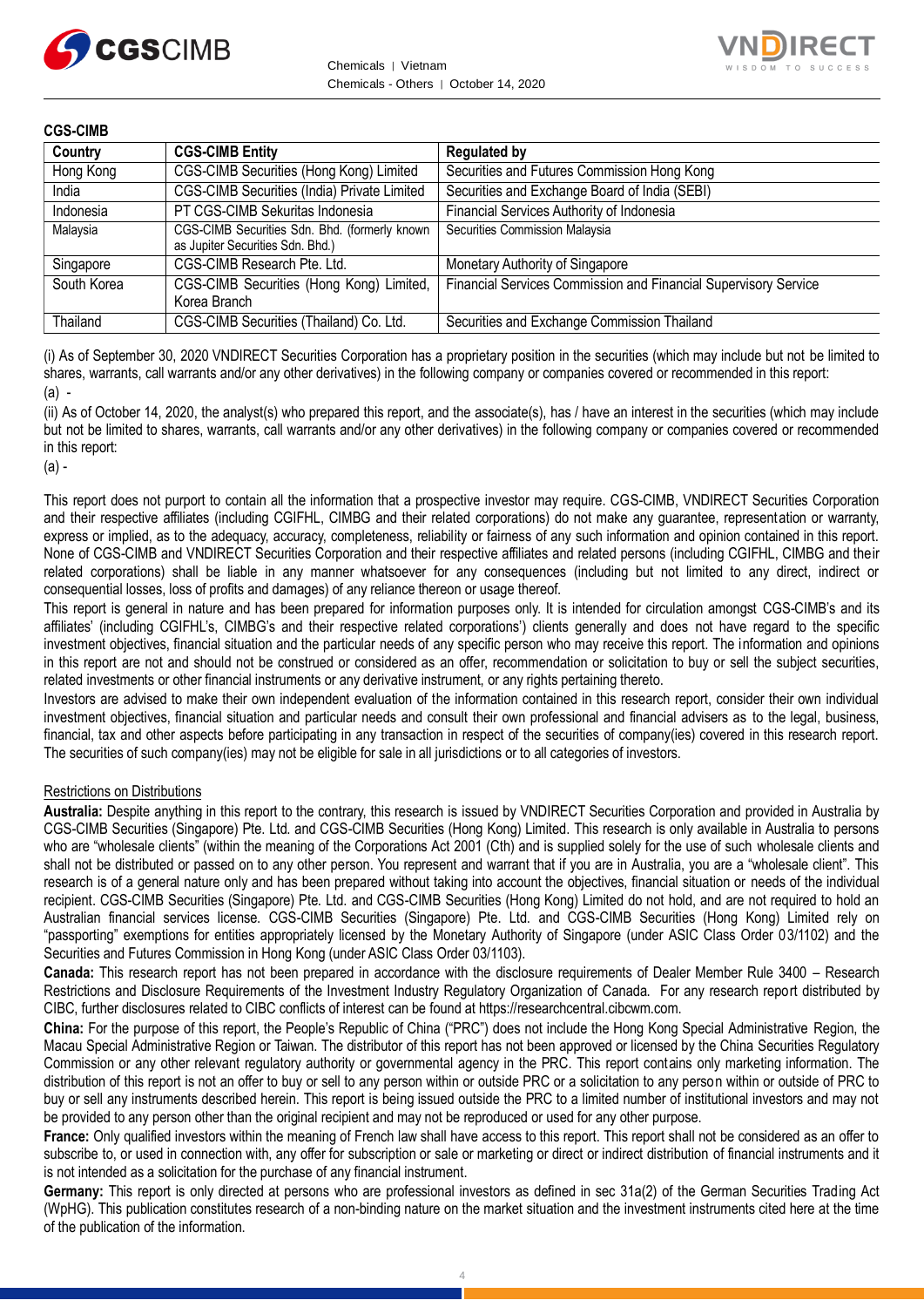



### **CGS-CIMB**

| Country     | <b>CGS-CIMB Entity</b>                                                            | <b>Regulated by</b>                                             |
|-------------|-----------------------------------------------------------------------------------|-----------------------------------------------------------------|
| Hong Kong   | CGS-CIMB Securities (Hong Kong) Limited                                           | Securities and Futures Commission Hong Kong                     |
| India       | CGS-CIMB Securities (India) Private Limited                                       | Securities and Exchange Board of India (SEBI)                   |
| Indonesia   | PT CGS-CIMB Sekuritas Indonesia                                                   | Financial Services Authority of Indonesia                       |
| Malaysia    | CGS-CIMB Securities Sdn. Bhd. (formerly known<br>as Jupiter Securities Sdn. Bhd.) | Securities Commission Malaysia                                  |
| Singapore   | CGS-CIMB Research Pte. Ltd.                                                       | Monetary Authority of Singapore                                 |
| South Korea | CGS-CIMB Securities (Hong Kong) Limited,<br>Korea Branch                          | Financial Services Commission and Financial Supervisory Service |
| Thailand    | CGS-CIMB Securities (Thailand) Co. Ltd.                                           | Securities and Exchange Commission Thailand                     |

(i) As of September 30, 2020 VNDIRECT Securities Corporation has a proprietary position in the securities (which may include but not be limited to shares, warrants, call warrants and/or any other derivatives) in the following company or companies covered or recommended in this report: (a) -

(ii) As of October 14, 2020, the analyst(s) who prepared this report, and the associate(s), has / have an interest in the securities (which may include but not be limited to shares, warrants, call warrants and/or any other derivatives) in the following company or companies covered or recommended in this report:

(a) -

This report does not purport to contain all the information that a prospective investor may require. CGS-CIMB, VNDIRECT Securities Corporation and their respective affiliates (including CGIFHL, CIMBG and their related corporations) do not make any guarantee, representation or warranty, express or implied, as to the adequacy, accuracy, completeness, reliability or fairness of any such information and opinion contained in this report. None of CGS-CIMB and VNDIRECT Securities Corporation and their respective affiliates and related persons (including CGIFHL, CIMBG and their related corporations) shall be liable in any manner whatsoever for any consequences (including but not limited to any direct, indirect or consequential losses, loss of profits and damages) of any reliance thereon or usage thereof.

This report is general in nature and has been prepared for information purposes only. It is intended for circulation amongst CGS-CIMB's and its affiliates' (including CGIFHL's, CIMBG's and their respective related corporations') clients generally and does not have regard to the specific investment objectives, financial situation and the particular needs of any specific person who may receive this report. The information and opinions in this report are not and should not be construed or considered as an offer, recommendation or solicitation to buy or sell the subject securities, related investments or other financial instruments or any derivative instrument, or any rights pertaining thereto.

Investors are advised to make their own independent evaluation of the information contained in this research report, consider their own individual investment objectives, financial situation and particular needs and consult their own professional and financial advisers as to the legal, business, financial, tax and other aspects before participating in any transaction in respect of the securities of company(ies) covered in this research report. The securities of such company(ies) may not be eligible for sale in all jurisdictions or to all categories of investors.

## Restrictions on Distributions

**Australia:** Despite anything in this report to the contrary, this research is issued by VNDIRECT Securities Corporation and provided in Australia by CGS-CIMB Securities (Singapore) Pte. Ltd. and CGS-CIMB Securities (Hong Kong) Limited. This research is only available in Australia to persons who are "wholesale clients" (within the meaning of the Corporations Act 2001 (Cth) and is supplied solely for the use of such wholesale clients and shall not be distributed or passed on to any other person. You represent and warrant that if you are in Australia, you are a "wholesale client". This research is of a general nature only and has been prepared without taking into account the objectives, financial situation or needs of the individual recipient. CGS-CIMB Securities (Singapore) Pte. Ltd. and CGS-CIMB Securities (Hong Kong) Limited do not hold, and are not required to hold an Australian financial services license. CGS-CIMB Securities (Singapore) Pte. Ltd. and CGS-CIMB Securities (Hong Kong) Limited rely on "passporting" exemptions for entities appropriately licensed by the Monetary Authority of Singapore (under ASIC Class Order 03/1102) and the Securities and Futures Commission in Hong Kong (under ASIC Class Order 03/1103).

**Canada:** This research report has not been prepared in accordance with the disclosure requirements of Dealer Member Rule 3400 – Research Restrictions and Disclosure Requirements of the Investment Industry Regulatory Organization of Canada. For any research report distributed by CIBC, further disclosures related to CIBC conflicts of interest can be found at https://researchcentral.cibcwm.com.

**China:** For the purpose of this report, the People's Republic of China ("PRC") does not include the Hong Kong Special Administrative Region, the Macau Special Administrative Region or Taiwan. The distributor of this report has not been approved or licensed by the China Securities Regulatory Commission or any other relevant regulatory authority or governmental agency in the PRC. This report contains only marketing information. The distribution of this report is not an offer to buy or sell to any person within or outside PRC or a solicitation to any person within or outside of PRC to buy or sell any instruments described herein. This report is being issued outside the PRC to a limited number of institutional investors and may not be provided to any person other than the original recipient and may not be reproduced or used for any other purpose.

**France:** Only qualified investors within the meaning of French law shall have access to this report. This report shall not be considered as an offer to subscribe to, or used in connection with, any offer for subscription or sale or marketing or direct or indirect distribution of financial instruments and it is not intended as a solicitation for the purchase of any financial instrument.

**Germany:** This report is only directed at persons who are professional investors as defined in sec 31a(2) of the German Securities Trading Act (WpHG). This publication constitutes research of a non-binding nature on the market situation and the investment instruments cited here at the time of the publication of the information.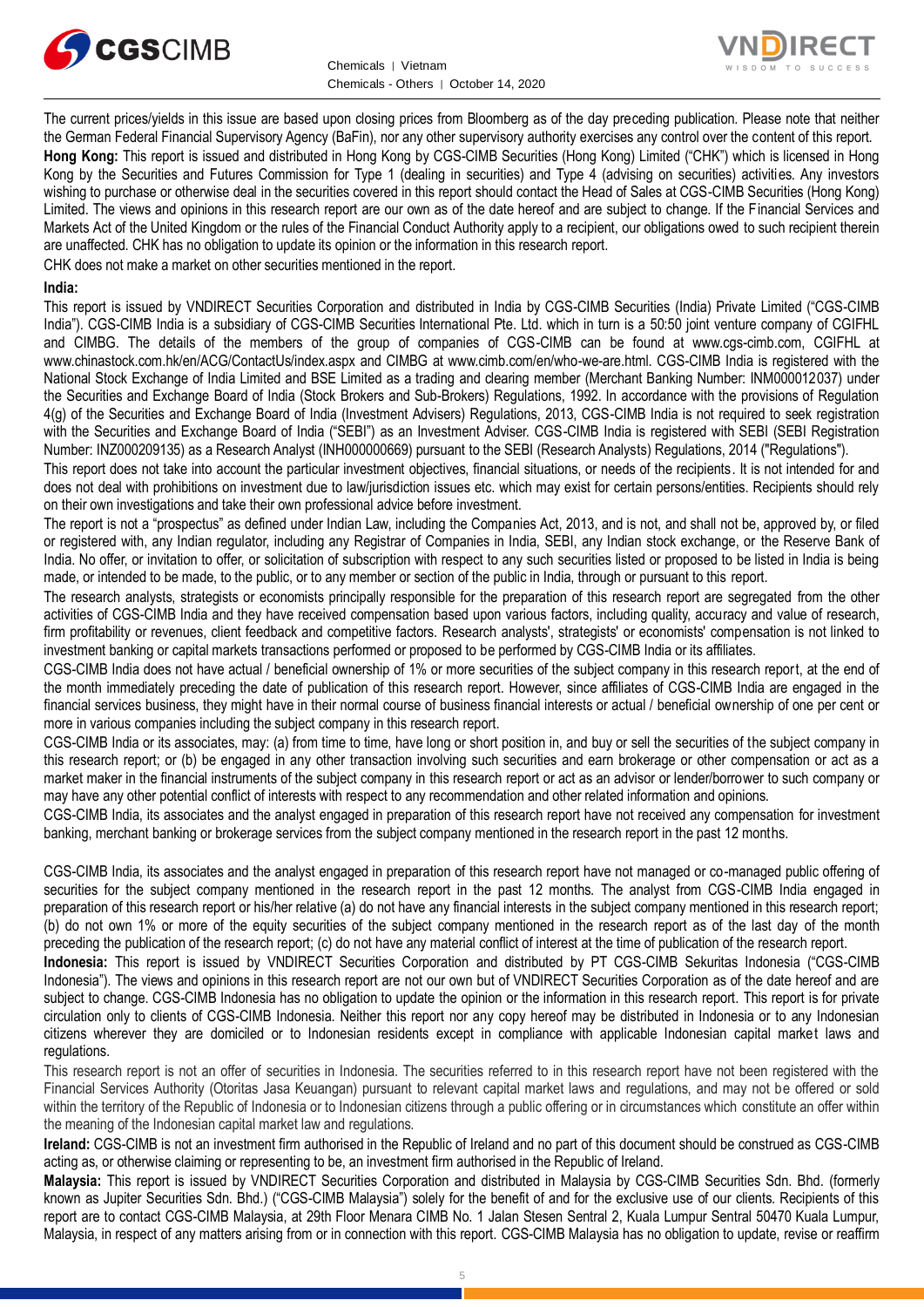



The current prices/yields in this issue are based upon closing prices from Bloomberg as of the day preceding publication. Please note that neither the German Federal Financial Supervisory Agency (BaFin), nor any other supervisory authority exercises any control over the content of this report. **Hong Kong:** This report is issued and distributed in Hong Kong by CGS-CIMB Securities (Hong Kong) Limited ("CHK") which is licensed in Hong Kong by the Securities and Futures Commission for Type 1 (dealing in securities) and Type 4 (advising on securities) activities. Any investors wishing to purchase or otherwise deal in the securities covered in this report should contact the Head of Sales at CGS-CIMB Securities (Hong Kong) Limited. The views and opinions in this research report are our own as of the date hereof and are subject to change. If the Financial Services and Markets Act of the United Kingdom or the rules of the Financial Conduct Authority apply to a recipient, our obligations owed to such recipient therein are unaffected. CHK has no obligation to update its opinion or the information in this research report.

CHK does not make a market on other securities mentioned in the report.

### **India:**

This report is issued by VNDIRECT Securities Corporation and distributed in India by CGS-CIMB Securities (India) Private Limited ("CGS-CIMB India"). CGS-CIMB India is a subsidiary of CGS-CIMB Securities International Pte. Ltd. which in turn is a 50:50 joint venture company of CGIFHL and CIMBG. The details of the members of the group of companies of CGS-CIMB can be found at www.cgs-cimb.com, CGIFHL at www.chinastock.com.hk/en/ACG/ContactUs/index.aspx and CIMBG at www.cimb.com/en/who-we-are.html. CGS-CIMB India is registered with the National Stock Exchange of India Limited and BSE Limited as a trading and clearing member (Merchant Banking Number: INM000012037) under the Securities and Exchange Board of India (Stock Brokers and Sub-Brokers) Regulations, 1992. In accordance with the provisions of Regulation 4(g) of the Securities and Exchange Board of India (Investment Advisers) Regulations, 2013, CGS-CIMB India is not required to seek registration with the Securities and Exchange Board of India ("SEBI") as an Investment Adviser. CGS-CIMB India is registered with SEBI (SEBI Registration Number: INZ000209135) as a Research Analyst (INH000000669) pursuant to the SEBI (Research Analysts) Regulations, 2014 ("Regulations").

This report does not take into account the particular investment objectives, financial situations, or needs of the recipients. It is not intended for and does not deal with prohibitions on investment due to law/jurisdiction issues etc. which may exist for certain persons/entities. Recipients should rely on their own investigations and take their own professional advice before investment.

The report is not a "prospectus" as defined under Indian Law, including the Companies Act, 2013, and is not, and shall not be, approved by, or filed or registered with, any Indian regulator, including any Registrar of Companies in India, SEBI, any Indian stock exchange, or the Reserve Bank of India. No offer, or invitation to offer, or solicitation of subscription with respect to any such securities listed or proposed to be listed in India is being made, or intended to be made, to the public, or to any member or section of the public in India, through or pursuant to this report.

The research analysts, strategists or economists principally responsible for the preparation of this research report are segregated from the other activities of CGS-CIMB India and they have received compensation based upon various factors, including quality, accuracy and value of research, firm profitability or revenues, client feedback and competitive factors. Research analysts', strategists' or economists' compensation is not linked to investment banking or capital markets transactions performed or proposed to be performed by CGS-CIMB India or its affiliates.

CGS-CIMB India does not have actual / beneficial ownership of 1% or more securities of the subject company in this research report, at the end of the month immediately preceding the date of publication of this research report. However, since affiliates of CGS-CIMB India are engaged in the financial services business, they might have in their normal course of business financial interests or actual / beneficial ownership of one per cent or more in various companies including the subject company in this research report.

CGS-CIMB India or its associates, may: (a) from time to time, have long or short position in, and buy or sell the securities of the subject company in this research report; or (b) be engaged in any other transaction involving such securities and earn brokerage or other compensation or act as a market maker in the financial instruments of the subject company in this research report or act as an advisor or lender/borrower to such company or may have any other potential conflict of interests with respect to any recommendation and other related information and opinions.

CGS-CIMB India, its associates and the analyst engaged in preparation of this research report have not received any compensation for investment banking, merchant banking or brokerage services from the subject company mentioned in the research report in the past 12 months.

CGS-CIMB India, its associates and the analyst engaged in preparation of this research report have not managed or co-managed public offering of securities for the subject company mentioned in the research report in the past 12 months. The analyst from CGS-CIMB India engaged in preparation of this research report or his/her relative (a) do not have any financial interests in the subject company mentioned in this research report; (b) do not own 1% or more of the equity securities of the subject company mentioned in the research report as of the last day of the month preceding the publication of the research report; (c) do not have any material conflict of interest at the time of publication of the research report.

**Indonesia:** This report is issued by VNDIRECT Securities Corporation and distributed by PT CGS-CIMB Sekuritas Indonesia ("CGS-CIMB Indonesia"). The views and opinions in this research report are not our own but of VNDIRECT Securities Corporation as of the date hereof and are subject to change. CGS-CIMB Indonesia has no obligation to update the opinion or the information in this research report. This report is for private circulation only to clients of CGS-CIMB Indonesia. Neither this report nor any copy hereof may be distributed in Indonesia or to any Indonesian citizens wherever they are domiciled or to Indonesian residents except in compliance with applicable Indonesian capital market laws and regulations.

This research report is not an offer of securities in Indonesia. The securities referred to in this research report have not been registered with the Financial Services Authority (Otoritas Jasa Keuangan) pursuant to relevant capital market laws and regulations, and may not be offered or sold within the territory of the Republic of Indonesia or to Indonesian citizens through a public offering or in circumstances which constitute an offer within the meaning of the Indonesian capital market law and regulations.

**Ireland:** CGS-CIMB is not an investment firm authorised in the Republic of Ireland and no part of this document should be construed as CGS-CIMB acting as, or otherwise claiming or representing to be, an investment firm authorised in the Republic of Ireland.

**Malaysia:** This report is issued by VNDIRECT Securities Corporation and distributed in Malaysia by CGS-CIMB Securities Sdn. Bhd. (formerly known as Jupiter Securities Sdn. Bhd.) ("CGS-CIMB Malaysia") solely for the benefit of and for the exclusive use of our clients. Recipients of this report are to contact CGS-CIMB Malaysia, at 29th Floor Menara CIMB No. 1 Jalan Stesen Sentral 2, Kuala Lumpur Sentral 50470 Kuala Lumpur, Malaysia, in respect of any matters arising from or in connection with this report. CGS-CIMB Malaysia has no obligation to update, revise or reaffirm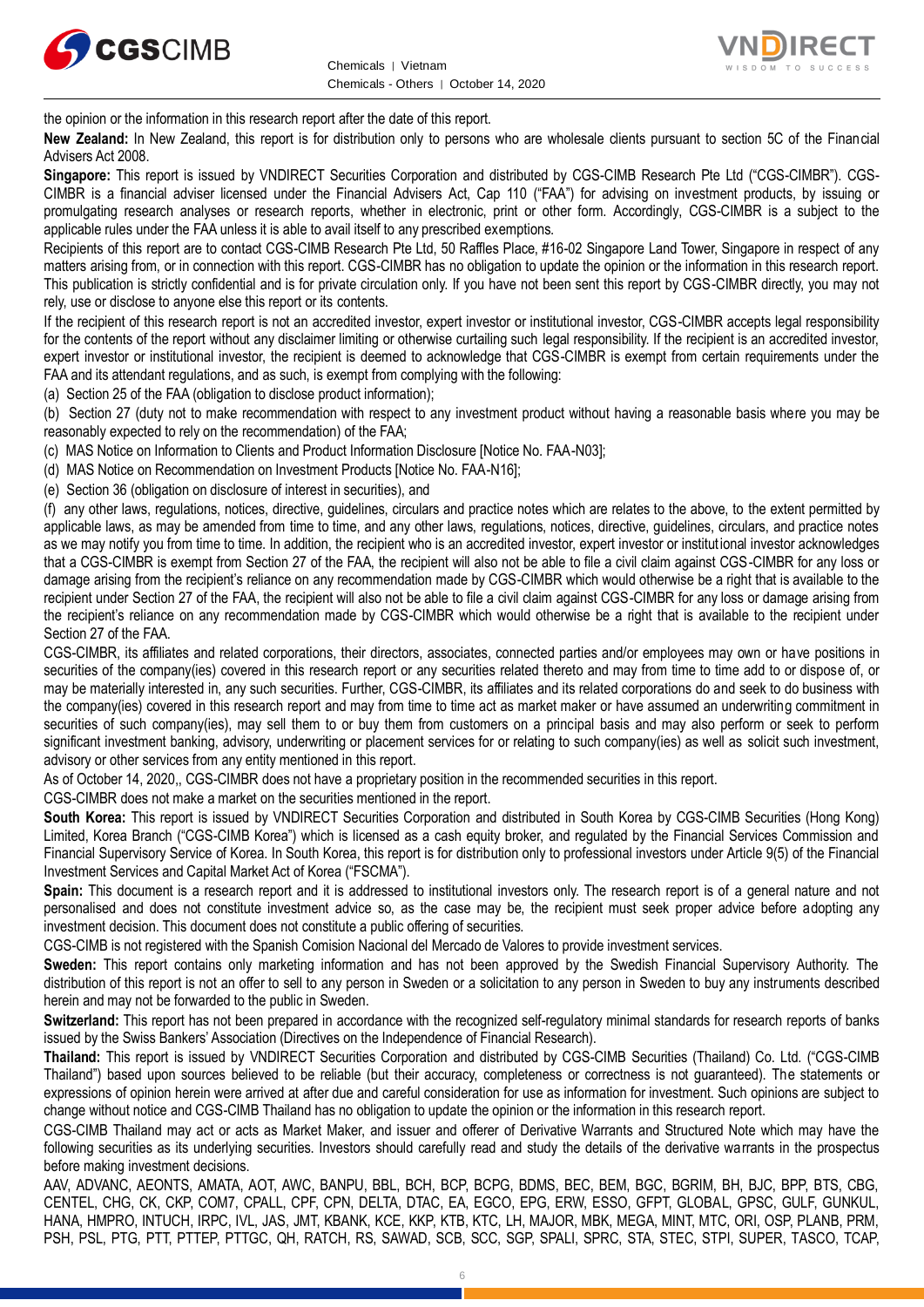



the opinion or the information in this research report after the date of this report.

**New Zealand:** In New Zealand, this report is for distribution only to persons who are wholesale clients pursuant to section 5C of the Financial Advisers Act 2008.

**Singapore:** This report is issued by VNDIRECT Securities Corporation and distributed by CGS-CIMB Research Pte Ltd ("CGS-CIMBR"). CGS-CIMBR is a financial adviser licensed under the Financial Advisers Act, Cap 110 ("FAA") for advising on investment products, by issuing or promulgating research analyses or research reports, whether in electronic, print or other form. Accordingly, CGS-CIMBR is a subject to the applicable rules under the FAA unless it is able to avail itself to any prescribed exemptions.

Recipients of this report are to contact CGS-CIMB Research Pte Ltd, 50 Raffles Place, #16-02 Singapore Land Tower, Singapore in respect of any matters arising from, or in connection with this report. CGS-CIMBR has no obligation to update the opinion or the information in this research report. This publication is strictly confidential and is for private circulation only. If you have not been sent this report by CGS-CIMBR directly, you may not rely, use or disclose to anyone else this report or its contents.

If the recipient of this research report is not an accredited investor, expert investor or institutional investor, CGS-CIMBR accepts legal responsibility for the contents of the report without any disclaimer limiting or otherwise curtailing such legal responsibility. If the recipient is an accredited investor, expert investor or institutional investor, the recipient is deemed to acknowledge that CGS-CIMBR is exempt from certain requirements under the FAA and its attendant regulations, and as such, is exempt from complying with the following:

(a) Section 25 of the FAA (obligation to disclose product information);

(b) Section 27 (duty not to make recommendation with respect to any investment product without having a reasonable basis where you may be reasonably expected to rely on the recommendation) of the FAA;

(c) MAS Notice on Information to Clients and Product Information Disclosure [Notice No. FAA-N03];

(d) MAS Notice on Recommendation on Investment Products [Notice No. FAA-N16];

(e) Section 36 (obligation on disclosure of interest in securities), and

(f) any other laws, regulations, notices, directive, guidelines, circulars and practice notes which are relates to the above, to the extent permitted by applicable laws, as may be amended from time to time, and any other laws, regulations, notices, directive, guidelines, circulars, and practice notes as we may notify you from time to time. In addition, the recipient who is an accredited investor, expert investor or institutional investor acknowledges that a CGS-CIMBR is exempt from Section 27 of the FAA, the recipient will also not be able to file a civil claim against CGS-CIMBR for any loss or damage arising from the recipient's reliance on any recommendation made by CGS-CIMBR which would otherwise be a right that is available to the recipient under Section 27 of the FAA, the recipient will also not be able to file a civil claim against CGS-CIMBR for any loss or damage arising from the recipient's reliance on any recommendation made by CGS-CIMBR which would otherwise be a right that is available to the recipient under Section 27 of the FAA.

CGS-CIMBR, its affiliates and related corporations, their directors, associates, connected parties and/or employees may own or have positions in securities of the company(ies) covered in this research report or any securities related thereto and may from time to time add to or dispose of, or may be materially interested in, any such securities. Further, CGS-CIMBR, its affiliates and its related corporations do and seek to do business with the company(ies) covered in this research report and may from time to time act as market maker or have assumed an underwriting commitment in securities of such company(ies), may sell them to or buy them from customers on a principal basis and may also perform or seek to perform significant investment banking, advisory, underwriting or placement services for or relating to such company(ies) as well as solicit such investment, advisory or other services from any entity mentioned in this report.

As of October 14, 2020,, CGS-CIMBR does not have a proprietary position in the recommended securities in this report.

CGS-CIMBR does not make a market on the securities mentioned in the report.

**South Korea:** This report is issued by VNDIRECT Securities Corporation and distributed in South Korea by CGS-CIMB Securities (Hong Kong) Limited, Korea Branch ("CGS-CIMB Korea") which is licensed as a cash equity broker, and regulated by the Financial Services Commission and Financial Supervisory Service of Korea. In South Korea, this report is for distribution only to professional investors under Article 9(5) of the Financial Investment Services and Capital Market Act of Korea ("FSCMA").

**Spain:** This document is a research report and it is addressed to institutional investors only. The research report is of a general nature and not personalised and does not constitute investment advice so, as the case may be, the recipient must seek proper advice before adopting any investment decision. This document does not constitute a public offering of securities.

CGS-CIMB is not registered with the Spanish Comision Nacional del Mercado de Valores to provide investment services.

**Sweden:** This report contains only marketing information and has not been approved by the Swedish Financial Supervisory Authority. The distribution of this report is not an offer to sell to any person in Sweden or a solicitation to any person in Sweden to buy any instruments described herein and may not be forwarded to the public in Sweden.

**Switzerland:** This report has not been prepared in accordance with the recognized self-regulatory minimal standards for research reports of banks issued by the Swiss Bankers' Association (Directives on the Independence of Financial Research).

**Thailand:** This report is issued by VNDIRECT Securities Corporation and distributed by CGS-CIMB Securities (Thailand) Co. Ltd. ("CGS-CIMB Thailand") based upon sources believed to be reliable (but their accuracy, completeness or correctness is not guaranteed). The statements or expressions of opinion herein were arrived at after due and careful consideration for use as information for investment. Such opinions are subject to change without notice and CGS-CIMB Thailand has no obligation to update the opinion or the information in this research report.

CGS-CIMB Thailand may act or acts as Market Maker, and issuer and offerer of Derivative Warrants and Structured Note which may have the following securities as its underlying securities. Investors should carefully read and study the details of the derivative warrants in the prospectus before making investment decisions.

AAV, ADVANC, AEONTS, AMATA, AOT, AWC, BANPU, BBL, BCH, BCP, BCPG, BDMS, BEC, BEM, BGC, BGRIM, BH, BJC, BPP, BTS, CBG, CENTEL, CHG, CK, CKP, COM7, CPALL, CPF, CPN, DELTA, DTAC, EA, EGCO, EPG, ERW, ESSO, GFPT, GLOBAL, GPSC, GULF, GUNKUL, HANA, HMPRO, INTUCH, IRPC, IVL, JAS, JMT, KBANK, KCE, KKP, KTB, KTC, LH, MAJOR, MBK, MEGA, MINT, MTC, ORI, OSP, PLANB, PRM, PSH, PSL, PTG, PTT, PTTEP, PTTGC, QH, RATCH, RS, SAWAD, SCB, SCC, SGP, SPALI, SPRC, STA, STEC, STPI, SUPER, TASCO, TCAP,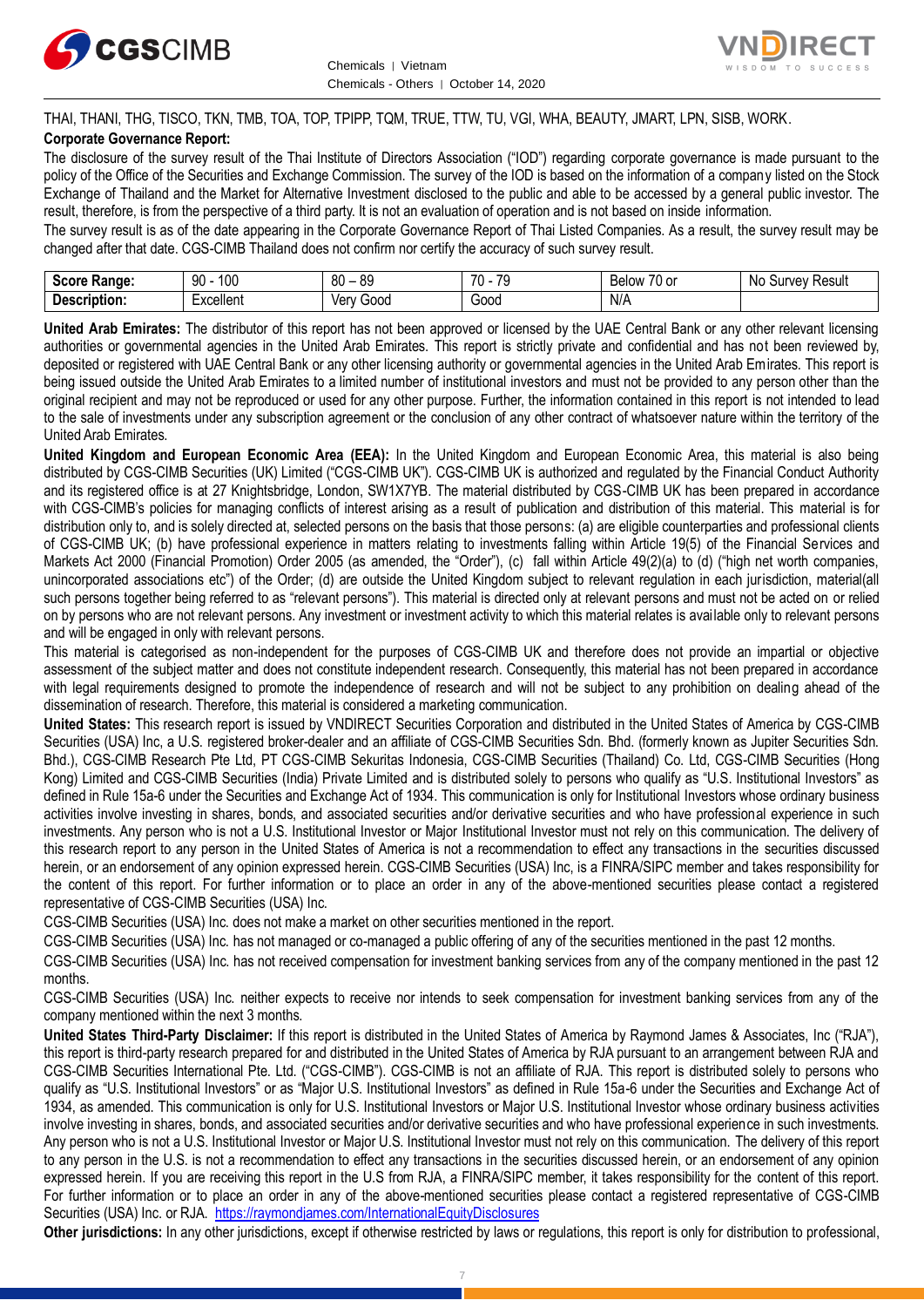



THAI, THANI, THG, TISCO, TKN, TMB, TOA, TOP, TPIPP, TQM, TRUE, TTW, TU, VGI, WHA, BEAUTY, JMART, LPN, SISB, WORK. **Corporate Governance Report:**

The disclosure of the survey result of the Thai Institute of Directors Association ("IOD") regarding corporate governance is made pursuant to the policy of the Office of the Securities and Exchange Commission. The survey of the IOD is based on the information of a company listed on the Stock Exchange of Thailand and the Market for Alternative Investment disclosed to the public and able to be accessed by a general public investor. The result, therefore, is from the perspective of a third party. It is not an evaluation of operation and is not based on inside information.

The survey result is as of the date appearing in the Corporate Governance Report of Thai Listed Companies. As a result, the survey result may be changed after that date. CGS-CIMB Thailand does not confirm nor certify the accuracy of such survey result.

| <b>Score</b><br>Ranɑe:      | $\sim$<br>n۵<br>IJU<br>טע | 80<br>$\circ$<br>o | 70<br>70<br>. | $-$<br>Below<br>. U or | Nc<br>Result<br>10/21<br>ve<br>ou. |
|-----------------------------|---------------------------|--------------------|---------------|------------------------|------------------------------------|
| <b>Descript</b><br>ription. | -xcellent                 | . .<br>000ز<br>ver | 000ئ          | N/A                    |                                    |

**United Arab Emirates:** The distributor of this report has not been approved or licensed by the UAE Central Bank or any other relevant licensing authorities or governmental agencies in the United Arab Emirates. This report is strictly private and confidential and has not been reviewed by, deposited or registered with UAE Central Bank or any other licensing authority or governmental agencies in the United Arab Emirates. This report is being issued outside the United Arab Emirates to a limited number of institutional investors and must not be provided to any person other than the original recipient and may not be reproduced or used for any other purpose. Further, the information contained in this report is not intended to lead to the sale of investments under any subscription agreement or the conclusion of any other contract of whatsoever nature within the territory of the United Arab Emirates.

**United Kingdom and European Economic Area (EEA):** In the United Kingdom and European Economic Area, this material is also being distributed by CGS-CIMB Securities (UK) Limited ("CGS-CIMB UK"). CGS-CIMB UK is authorized and regulated by the Financial Conduct Authority and its registered office is at 27 Knightsbridge, London, SW1X7YB. The material distributed by CGS-CIMB UK has been prepared in accordance with CGS-CIMB's policies for managing conflicts of interest arising as a result of publication and distribution of this material. This material is for distribution only to, and is solely directed at, selected persons on the basis that those persons: (a) are eligible counterparties and professional clients of CGS-CIMB UK; (b) have professional experience in matters relating to investments falling within Article 19(5) of the Financial Services and Markets Act 2000 (Financial Promotion) Order 2005 (as amended, the "Order"), (c) fall within Article 49(2)(a) to (d) ("high net worth companies, unincorporated associations etc") of the Order; (d) are outside the United Kingdom subject to relevant regulation in each jurisdiction, material(all such persons together being referred to as "relevant persons"). This material is directed only at relevant persons and must not be acted on or relied on by persons who are not relevant persons. Any investment or investment activity to which this material relates is available only to relevant persons and will be engaged in only with relevant persons.

This material is categorised as non-independent for the purposes of CGS-CIMB UK and therefore does not provide an impartial or objective assessment of the subject matter and does not constitute independent research. Consequently, this material has not been prepared in accordance with legal requirements designed to promote the independence of research and will not be subject to any prohibition on dealing ahead of the dissemination of research. Therefore, this material is considered a marketing communication.

**United States:** This research report is issued by VNDIRECT Securities Corporation and distributed in the United States of America by CGS-CIMB Securities (USA) Inc, a U.S. registered broker-dealer and an affiliate of CGS-CIMB Securities Sdn. Bhd. (formerly known as Jupiter Securities Sdn. Bhd.), CGS-CIMB Research Pte Ltd, PT CGS-CIMB Sekuritas Indonesia, CGS-CIMB Securities (Thailand) Co. Ltd, CGS-CIMB Securities (Hong Kong) Limited and CGS-CIMB Securities (India) Private Limited and is distributed solely to persons who qualify as "U.S. Institutional Investors" as defined in Rule 15a-6 under the Securities and Exchange Act of 1934. This communication is only for Institutional Investors whose ordinary business activities involve investing in shares, bonds, and associated securities and/or derivative securities and who have professional experience in such investments. Any person who is not a U.S. Institutional Investor or Major Institutional Investor must not rely on this communication. The delivery of this research report to any person in the United States of America is not a recommendation to effect any transactions in the securities discussed herein, or an endorsement of any opinion expressed herein. CGS-CIMB Securities (USA) Inc, is a FINRA/SIPC member and takes responsibility for the content of this report. For further information or to place an order in any of the above-mentioned securities please contact a registered representative of CGS-CIMB Securities (USA) Inc.

CGS-CIMB Securities (USA) Inc. does not make a market on other securities mentioned in the report.

CGS-CIMB Securities (USA) Inc. has not managed or co-managed a public offering of any of the securities mentioned in the past 12 months.

CGS-CIMB Securities (USA) Inc. has not received compensation for investment banking services from any of the company mentioned in the past 12 months.

CGS-CIMB Securities (USA) Inc. neither expects to receive nor intends to seek compensation for investment banking services from any of the company mentioned within the next 3 months.

**United States Third-Party Disclaimer:** If this report is distributed in the United States of America by Raymond James & Associates, Inc ("RJA"), this report is third-party research prepared for and distributed in the United States of America by RJA pursuant to an arrangement between RJA and CGS-CIMB Securities International Pte. Ltd. ("CGS-CIMB"). CGS-CIMB is not an affiliate of RJA. This report is distributed solely to persons who qualify as "U.S. Institutional Investors" or as "Major U.S. Institutional Investors" as defined in Rule 15a-6 under the Securities and Exchange Act of 1934, as amended. This communication is only for U.S. Institutional Investors or Major U.S. Institutional Investor whose ordinary business activities involve investing in shares, bonds, and associated securities and/or derivative securities and who have professional experience in such investments. Any person who is not a U.S. Institutional Investor or Major U.S. Institutional Investor must not rely on this communication. The delivery of this report to any person in the U.S. is not a recommendation to effect any transactions in the securities discussed herein, or an endorsement of any opinion expressed herein. If you are receiving this report in the U.S from RJA, a FINRA/SIPC member, it takes responsibility for the content of this report. For further information or to place an order in any of the above-mentioned securities please contact a registered representative of CGS-CIMB Securities (USA) Inc. or RJA.<https://raymondjames.com/InternationalEquityDisclosures>

**Other jurisdictions:** In any other jurisdictions, except if otherwise restricted by laws or regulations, this report is only for distribution to professional,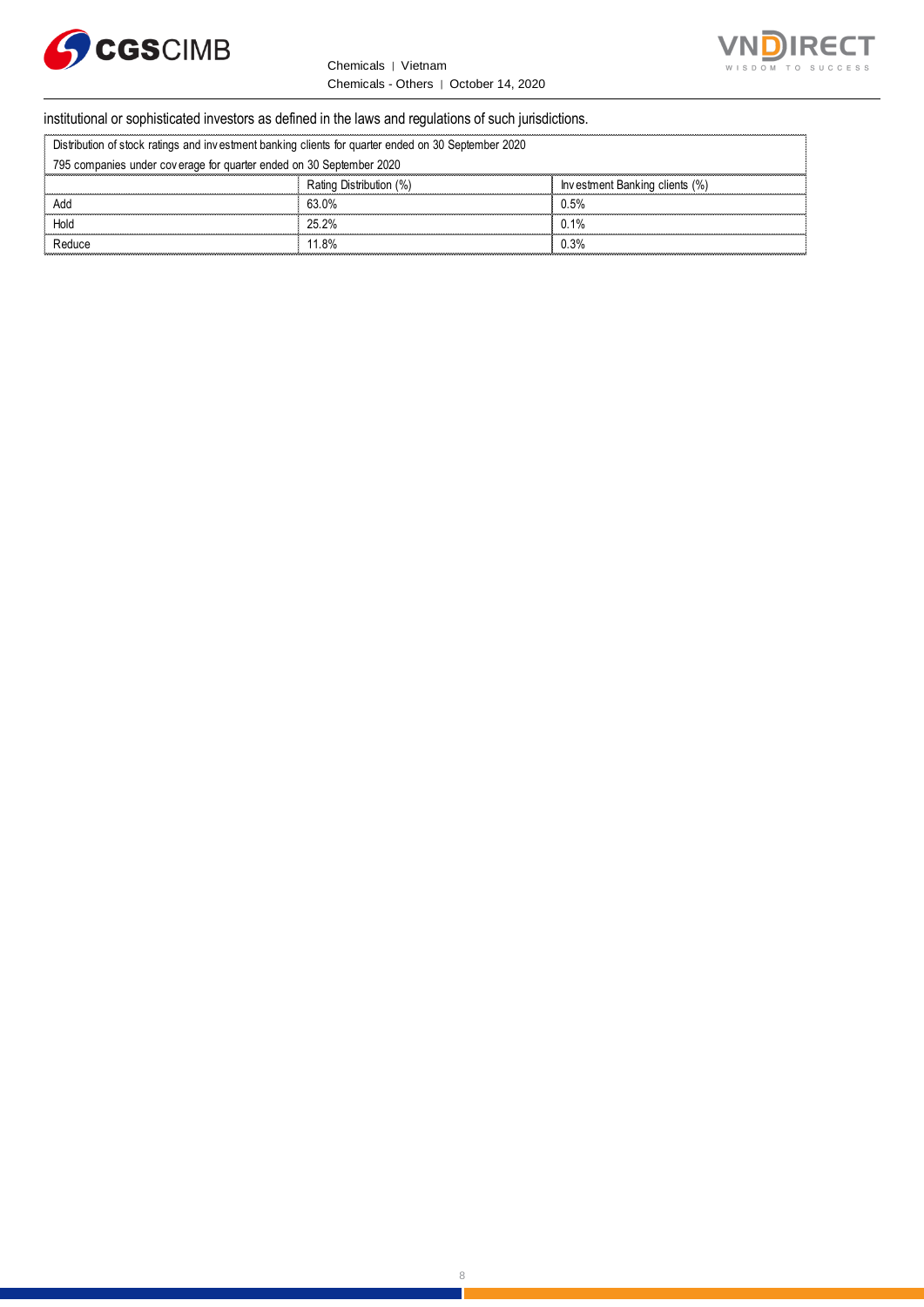



# institutional or sophisticated investors as defined in the laws and regulations of such jurisdictions. Chemicals - Others | October 14, 2<br>
Stitutional or sophisticated investors as defined in the laws and regulations of such ju<br>
Distribution of stock ratings and investment banking clients for quarter ended on 30 September 2

|                                                                     | institutional or sophisticated investors as defined in the laws and regulations of such jurisdictions. |                                |  |  |
|---------------------------------------------------------------------|--------------------------------------------------------------------------------------------------------|--------------------------------|--|--|
|                                                                     | Distribution of stock ratings and investment banking clients for quarter ended on 30 September 2020    |                                |  |  |
| 795 companies under coverage for quarter ended on 30 September 2020 |                                                                                                        |                                |  |  |
|                                                                     | Rating Distribution (%)                                                                                | Investment Banking clients (%) |  |  |
| Add                                                                 | 63 0%                                                                                                  | 0.5%                           |  |  |
| Hold                                                                | 25.2%                                                                                                  | 0.1%                           |  |  |
| Reduce                                                              | 11 8%                                                                                                  | 0.3%                           |  |  |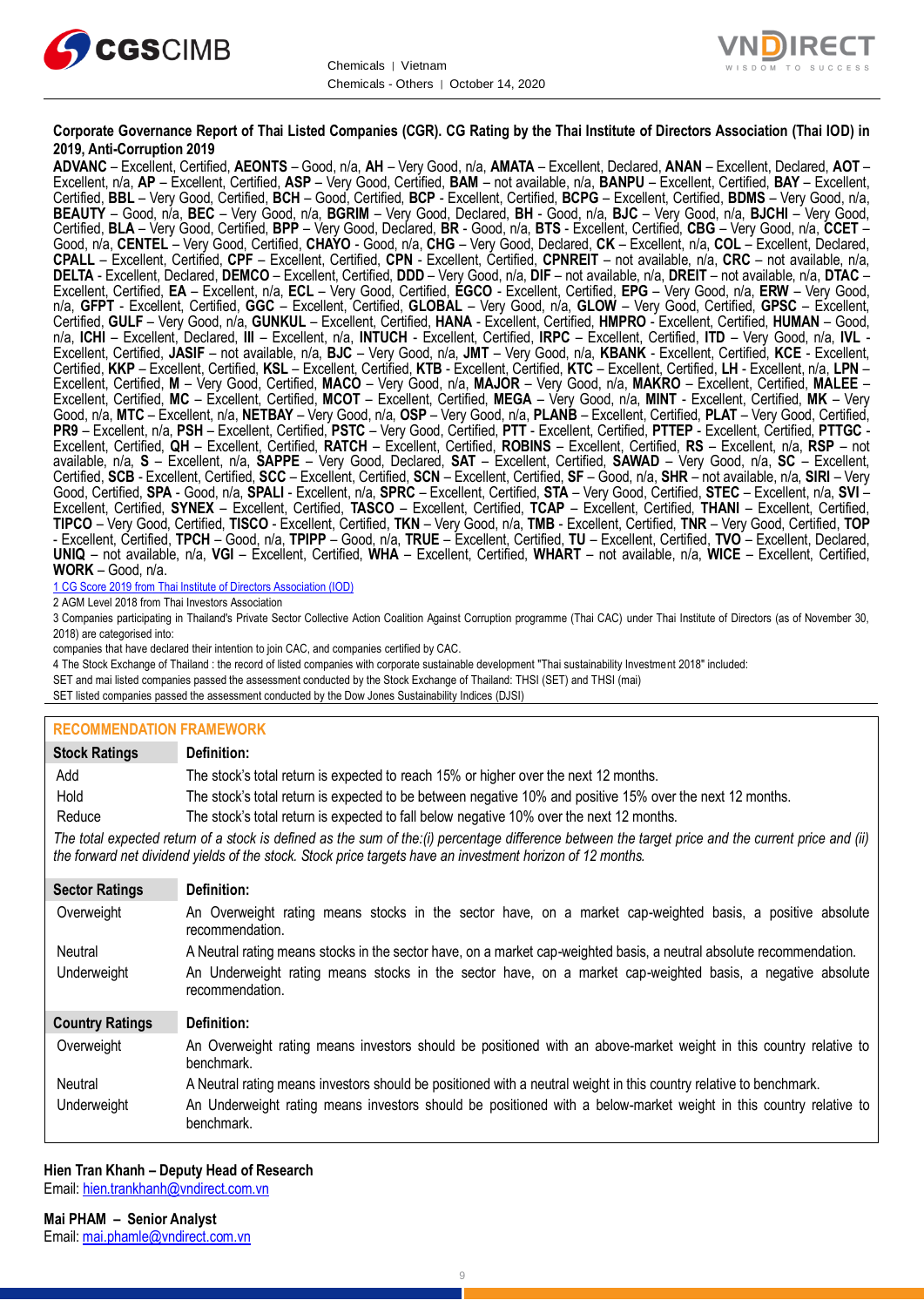



### **Corporate Governance Report of Thai Listed Companies (CGR). CG Rating by the Thai Institute of Directors Association (Thai IOD) in 2019, Anti-Corruption 2019**

**ADVANC** – Excellent, Certified, **AEONTS** – Good, n/a, **AH** – Very Good, n/a, **AMATA** – Excellent, Declared, **ANAN** – Excellent, Declared, **AOT** – Excellent, n/a, **AP** – Excellent, Certified, **ASP** – Very Good, Certified, **BAM** – not available, n/a, **BANPU** – Excellent, Certified, **BAY** – Excellent, Certified, **BBL** – Very Good, Certified, **BCH** – Good, Certified, **BCP** - Excellent, Certified, **BCPG** – Excellent, Certified, **BDMS** – Very Good, n/a, **BEAUTY** – Good, n/a, **BEC** – Very Good, n/a, **BGRIM** – Very Good, Declared, **BH** - Good, n/a, **BJC** – Very Good, n/a, **BJCHI** – Very Good, Certified, **BLA** – Very Good, Certified, **BPP** – Very Good, Declared, **BR** - Good, n/a, **BTS** - Excellent, Certified, **CBG** – Very Good, n/a, **CCET** – Good, n/a, **CENTEL** – Very Good, Certified, **CHAYO** - Good, n/a, **CHG** – Very Good, Declared, **CK** – Excellent, n/a, **COL** – Excellent, Declared, **CPALL** – Excellent, Certified, **CPF** – Excellent, Certified, **CPN** - Excellent, Certified, **CPNREIT** – not available, n/a, **CRC** – not available, n/a, **DELTA** - Excellent, Declared, **DEMCO** – Excellent, Certified, **DDD** – Very Good, n/a, **DIF** – not available, n/a, **DREIT** – not available, n/a, **DTAC** – Excellent, Certified, **EA** – Excellent, n/a, **ECL** – Very Good, Certified, **EGCO** - Excellent, Certified, **EPG** – Very Good, n/a, **ERW** – Very Good, n/a, **GFPT** - Excellent, Certified, **GGC** – Excellent, Certified, **GLOBAL** – Very Good, n/a, **GLOW** – Very Good, Certified, **GPSC** – Excellent, Certified, **GULF** – Very Good, n/a, **GUNKUL** – Excellent, Certified, **HANA** - Excellent, Certified, **HMPRO** - Excellent, Certified, **HUMAN** – Good, n/a, **ICHI** – Excellent, Declared, **III** – Excellent, n/a, **INTUCH** - Excellent, Certified, **IRPC** – Excellent, Certified, **ITD** – Very Good, n/a, **IVL** - Excellent, Certified, **JASIF** – not available, n/a, **BJC** – Very Good, n/a, **JMT** – Very Good, n/a, **KBANK** - Excellent, Certified, **KCE** - Excellent, Certified, **KKP** – Excellent, Certified, **KSL** – Excellent, Certified, **KTB** - Excellent, Certified, **KTC** – Excellent, Certified, **LH** - Excellent, n/a, **LPN** – Excellent, Certified, **M** – Very Good, Certified, **MACO** – Very Good, n/a, **MAJOR** – Very Good, n/a, **MAKRO** – Excellent, Certified, **MALEE** – Excellent, Certified, **MC** – Excellent, Certified, **MCOT** – Excellent, Certified, **MEGA** – Very Good, n/a, **MINT** - Excellent, Certified, **MK** – Very Good, n/a, **MTC** – Excellent, n/a, **NETBAY** – Very Good, n/a, **OSP** – Very Good, n/a, **PLANB** – Excellent, Certified, **PLAT** – Very Good, Certified, **PR9** – Excellent, n/a, **PSH** – Excellent, Certified, **PSTC** – Very Good, Certified, **PTT** - Excellent, Certified, **PTTEP** - Excellent, Certified, **PTTGC** - Excellent, Certified, **QH** – Excellent, Certified, **RATCH** – Excellent, Certified, **ROBINS** – Excellent, Certified, **RS** – Excellent, n/a, **RSP** – not available, n/a, **S** – Excellent, n/a, **SAPPE** – Very Good, Declared, **SAT** – Excellent, Certified, **SAWAD** – Very Good, n/a, **SC** – Excellent, Certified, **SCB** - Excellent, Certified, **SCC** – Excellent, Certified, **SCN** – Excellent, Certified, **SF** – Good, n/a, **SHR** – not available, n/a, **SIRI** – Very Good, Certified, **SPA** - Good, n/a, **SPALI** - Excellent, n/a, **SPRC** – Excellent, Certified, **STA** – Very Good, Certified, **STEC** – Excellent, n/a, **SVI** – Excellent, Certified, **SYNEX** – Excellent, Certified, **TASCO** – Excellent, Certified, **TCAP** – Excellent, Certified, **THANI** – Excellent, Certified, **TIPCO** – Very Good, Certified, **TISCO** - Excellent, Certified, **TKN** – Very Good, n/a, **TMB** - Excellent, Certified, **TNR** – Very Good, Certified, **TOP** - Excellent, Certified, **TPCH** – Good, n/a, **TPIPP** – Good, n/a, **TRUE** – Excellent, Certified, **TU** – Excellent, Certified, **TVO** – Excellent, Declared, **UNIQ** – not available, n/a, **VGI** – Excellent, Certified, **WHA** – Excellent, Certified, **WHART** – not available, n/a, **WICE** – Excellent, Certified, **WORK** – Good, n/a.

1 CG Score 2019 from Thai Institute of Directors Association (IOD)

2 AGM Level 2018 from Thai Investors Association

3 Companies participating in Thailand's Private Sector Collective Action Coalition Against Corruption programme (Thai CAC) under Thai Institute of Directors (as of November 30, 2018) are categorised into:

companies that have declared their intention to join CAC, and companies certified by CAC.

4 [The Stock Exchange of Thailand : the record of listed companies with corporate sustainable development "Thai sustainability Investment 2018" included:](http://www.set.or.th/sustainable_dev/en/sr/sri/tsi_p1.html)

SET and mai listed companies passed the assessment conducted by the Stock Exchange of Thailand: THSI (SET) and THSI (mai)

SET listed companies passed the assessment conducted by the Dow Jones Sustainability Indices (DJSI)

#### **RECOMMENDATION FRAMEWORK**

| <b>Stock Ratings</b>   | Definition:                                                                                                                                                                                                                                                       |  |  |  |  |
|------------------------|-------------------------------------------------------------------------------------------------------------------------------------------------------------------------------------------------------------------------------------------------------------------|--|--|--|--|
| Add                    | The stock's total return is expected to reach 15% or higher over the next 12 months.                                                                                                                                                                              |  |  |  |  |
| Hold                   | The stock's total return is expected to be between negative 10% and positive 15% over the next 12 months.                                                                                                                                                         |  |  |  |  |
| Reduce                 | The stock's total return is expected to fall below negative 10% over the next 12 months.                                                                                                                                                                          |  |  |  |  |
|                        | The total expected return of a stock is defined as the sum of the:(i) percentage difference between the target price and the current price and (ii)<br>the forward net dividend yields of the stock. Stock price targets have an investment horizon of 12 months. |  |  |  |  |
| <b>Sector Ratings</b>  | Definition:                                                                                                                                                                                                                                                       |  |  |  |  |
| Overweight             | An Overweight rating means stocks in the sector have, on a market cap-weighted basis, a positive absolute<br>recommendation.                                                                                                                                      |  |  |  |  |
| Neutral                | A Neutral rating means stocks in the sector have, on a market cap-weighted basis, a neutral absolute recommendation.                                                                                                                                              |  |  |  |  |
| Underweight            | An Underweight rating means stocks in the sector have, on a market cap-weighted basis, a negative absolute<br>recommendation.                                                                                                                                     |  |  |  |  |
| <b>Country Ratings</b> | Definition:                                                                                                                                                                                                                                                       |  |  |  |  |
| Overweight             | An Overweight rating means investors should be positioned with an above-market weight in this country relative to<br>benchmark.                                                                                                                                   |  |  |  |  |
| Neutral                | A Neutral rating means investors should be positioned with a neutral weight in this country relative to benchmark.                                                                                                                                                |  |  |  |  |
| Underweight            | An Underweight rating means investors should be positioned with a below-market weight in this country relative to<br>benchmark.                                                                                                                                   |  |  |  |  |

#### **Hien Tran Khanh – Deputy Head of Research** Email[: hien.trankhanh@vndirect.com.vn](mailto:hien.trankhanh@vndirect.com.vn)

**Mai PHAM – Senior Analyst** Email[: mai.phamle@vndirect.com.vn](mailto:mai.phamle@vndirect.com.vn)